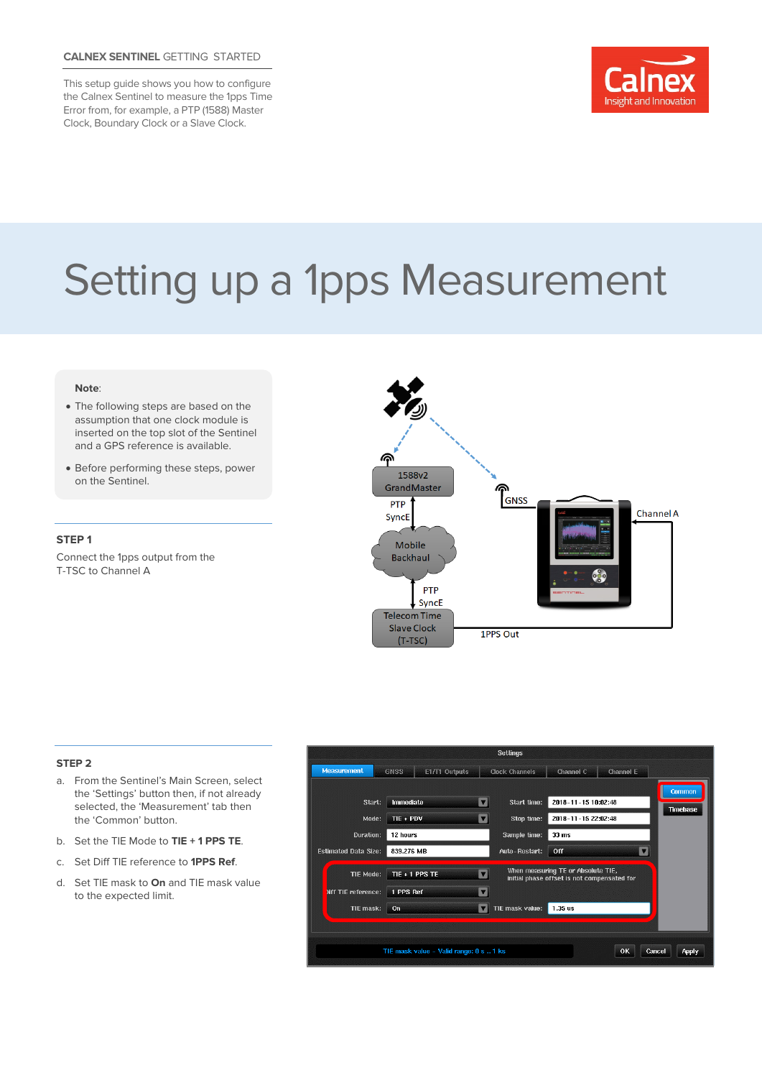## **CALNEX SENTINEL** GETTING STARTED

This setup guide shows you how to configure the Calnex Sentinel to measure the 1pps Time Error from, for example, a PTP (1588) Master Clock, Boundary Clock or a Slave Clock.



# Setting up a 1pps Measurement

#### **Note**:

- The following steps are based on the assumption that one clock module is inserted on the top slot of the Sentinel and a GPS reference is available.
- Before performing these steps, power on the Sentinel.

#### **STEP 1**

Connect the 1pps output from the T-TSC to Channel A



#### **STEP 2**

- a. From the Sentinel's Main Screen, select the 'Settings' button then, if not already selected, the 'Measurement' tab then the 'Common' button.
- b. Set the TIE Mode to **TIE + 1 PPS TE**.
- c. Set Diff TIE reference to **1PPS Ref**.
- d. Set TIE mask to **On** and TIE mask value to the expected limit.